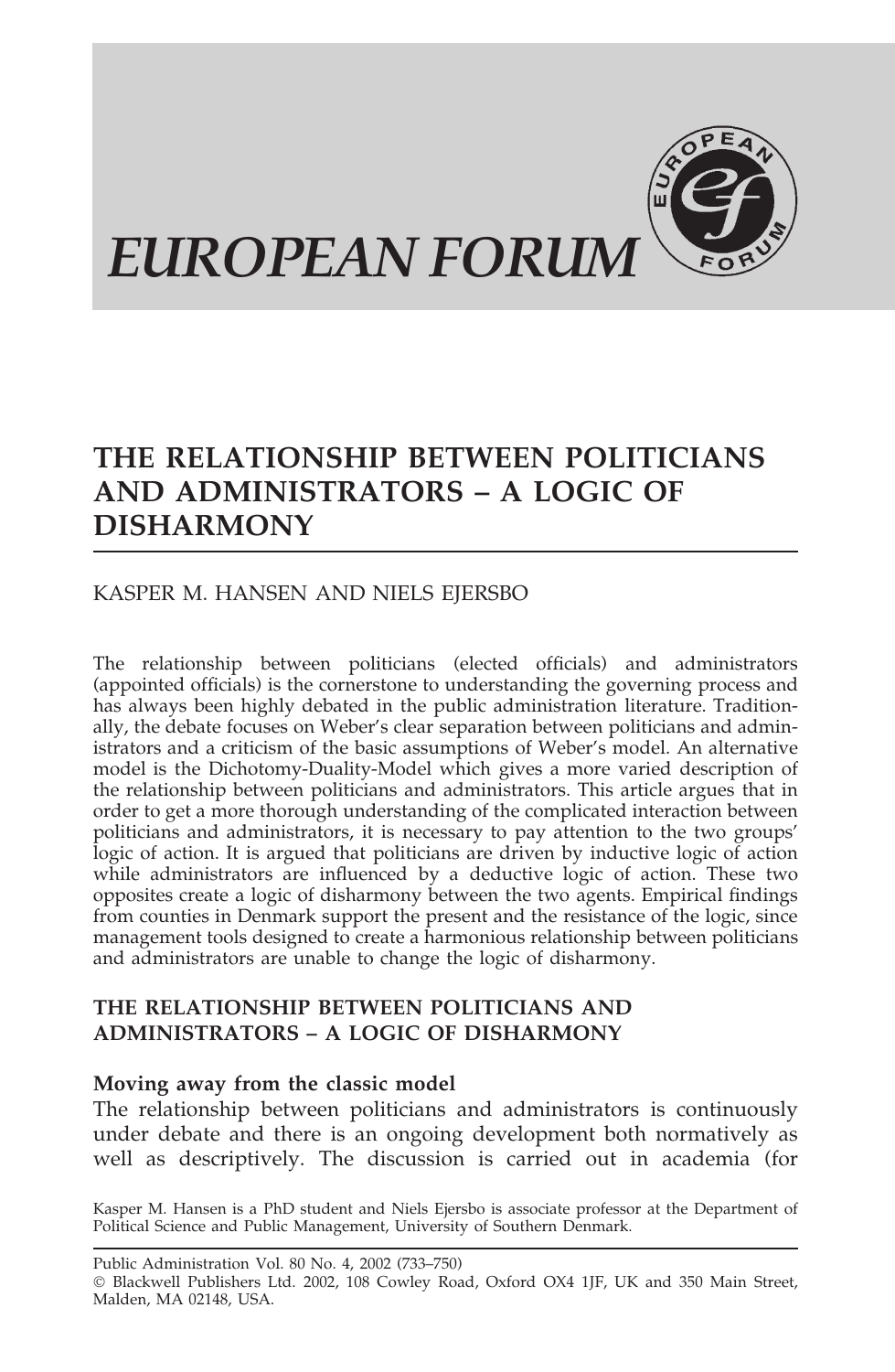

# **THE RELATIONSHIP BETWEEN POLITICIANS AND ADMINISTRATORS – A LOGIC OF DISHARMONY**

# KASPER M. HANSEN AND NIELS EJERSBO

The relationship between politicians (elected officials) and administrators (appointed officials) is the cornerstone to understanding the governing process and has always been highly debated in the public administration literature. Traditionally, the debate focuses on Weber's clear separation between politicians and administrators and a criticism of the basic assumptions of Weber's model. An alternative model is the Dichotomy-Duality-Model which gives a more varied description of the relationship between politicians and administrators. This article argues that in order to get a more thorough understanding of the complicated interaction between politicians and administrators, it is necessary to pay attention to the two groups' logic of action. It is argued that politicians are driven by inductive logic of action while administrators are influenced by a deductive logic of action. These two opposites create a logic of disharmony between the two agents. Empirical findings from counties in Denmark support the present and the resistance of the logic, since management tools designed to create a harmonious relationship between politicians and administrators are unable to change the logic of disharmony.

# **THE RELATIONSHIP BETWEEN POLITICIANS AND ADMINISTRATORS – A LOGIC OF DISHARMONY**

# **Moving away from the classic model**

The relationship between politicians and administrators is continuously under debate and there is an ongoing development both normatively as well as descriptively. The discussion is carried out in academia (for

Kasper M. Hansen is a PhD student and Niels Ejersbo is associate professor at the Department of Political Science and Public Management, University of Southern Denmark.

Public Administration Vol. 80 No. 4, 2002 (733–750) Blackwell Publishers Ltd. 2002, 108 Cowley Road, Oxford OX4 1JF, UK and 350 Main Street, Malden, MA 02148, USA.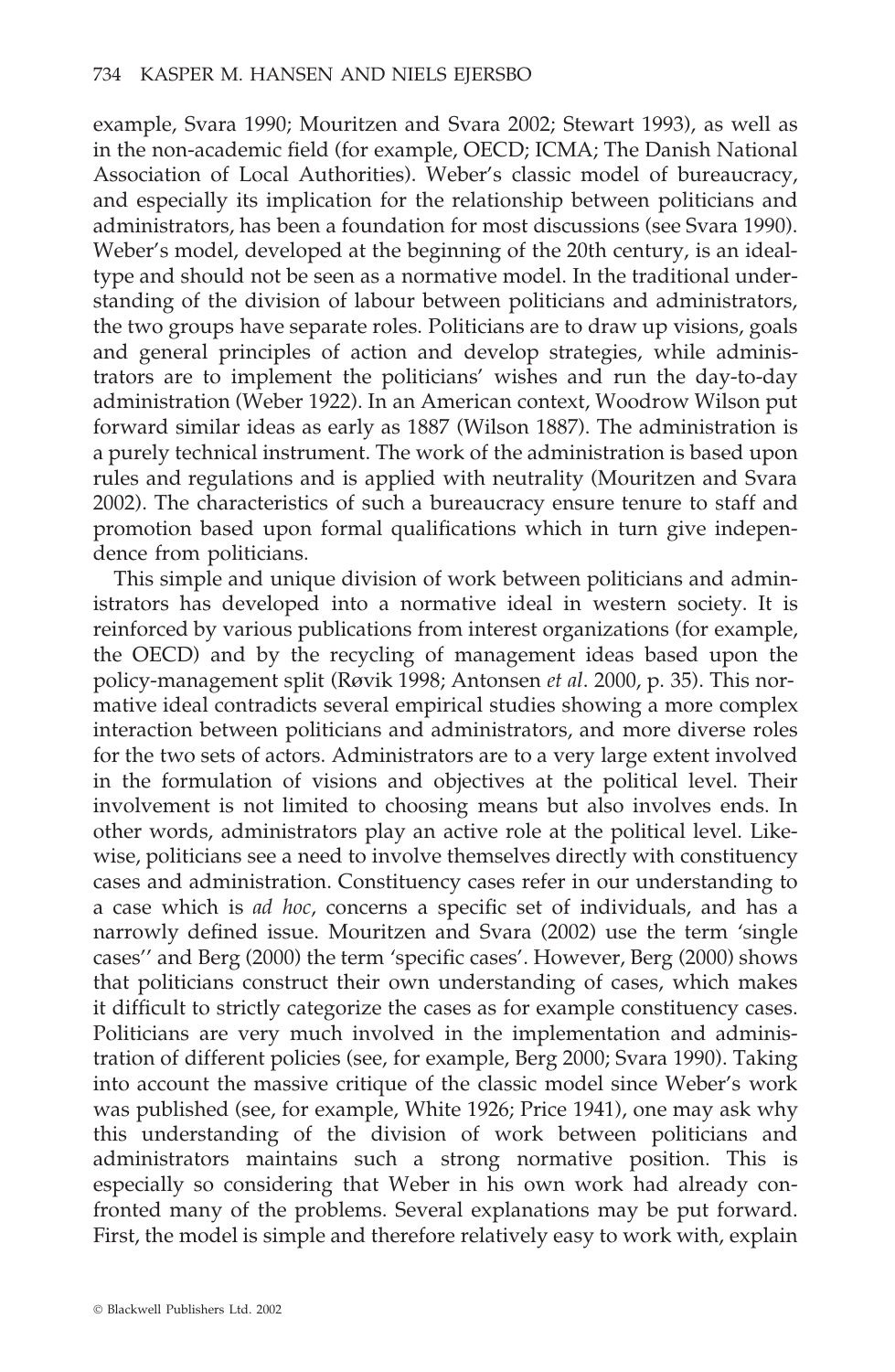example, Svara 1990; Mouritzen and Svara 2002; Stewart 1993), as well as in the non-academic field (for example, OECD; ICMA; The Danish National Association of Local Authorities). Weber's classic model of bureaucracy, and especially its implication for the relationship between politicians and administrators, has been a foundation for most discussions (see Svara 1990). Weber's model, developed at the beginning of the 20th century, is an idealtype and should not be seen as a normative model. In the traditional understanding of the division of labour between politicians and administrators, the two groups have separate roles. Politicians are to draw up visions, goals and general principles of action and develop strategies, while administrators are to implement the politicians' wishes and run the day-to-day administration (Weber 1922). In an American context, Woodrow Wilson put forward similar ideas as early as 1887 (Wilson 1887). The administration is a purely technical instrument. The work of the administration is based upon rules and regulations and is applied with neutrality (Mouritzen and Svara 2002). The characteristics of such a bureaucracy ensure tenure to staff and promotion based upon formal qualifications which in turn give independence from politicians.

This simple and unique division of work between politicians and administrators has developed into a normative ideal in western society. It is reinforced by various publications from interest organizations (for example, the OECD) and by the recycling of management ideas based upon the policy-management split (Røvik 1998; Antonsen *et al*. 2000, p. 35). This normative ideal contradicts several empirical studies showing a more complex interaction between politicians and administrators, and more diverse roles for the two sets of actors. Administrators are to a very large extent involved in the formulation of visions and objectives at the political level. Their involvement is not limited to choosing means but also involves ends. In other words, administrators play an active role at the political level. Likewise, politicians see a need to involve themselves directly with constituency cases and administration. Constituency cases refer in our understanding to a case which is *ad hoc*, concerns a specific set of individuals, and has a narrowly defined issue. Mouritzen and Svara (2002) use the term 'single cases'' and Berg (2000) the term 'specific cases'. However, Berg (2000) shows that politicians construct their own understanding of cases, which makes it difficult to strictly categorize the cases as for example constituency cases. Politicians are very much involved in the implementation and administration of different policies (see, for example, Berg 2000; Svara 1990). Taking into account the massive critique of the classic model since Weber's work was published (see, for example, White 1926; Price 1941), one may ask why this understanding of the division of work between politicians and administrators maintains such a strong normative position. This is especially so considering that Weber in his own work had already confronted many of the problems. Several explanations may be put forward. First, the model is simple and therefore relatively easy to work with, explain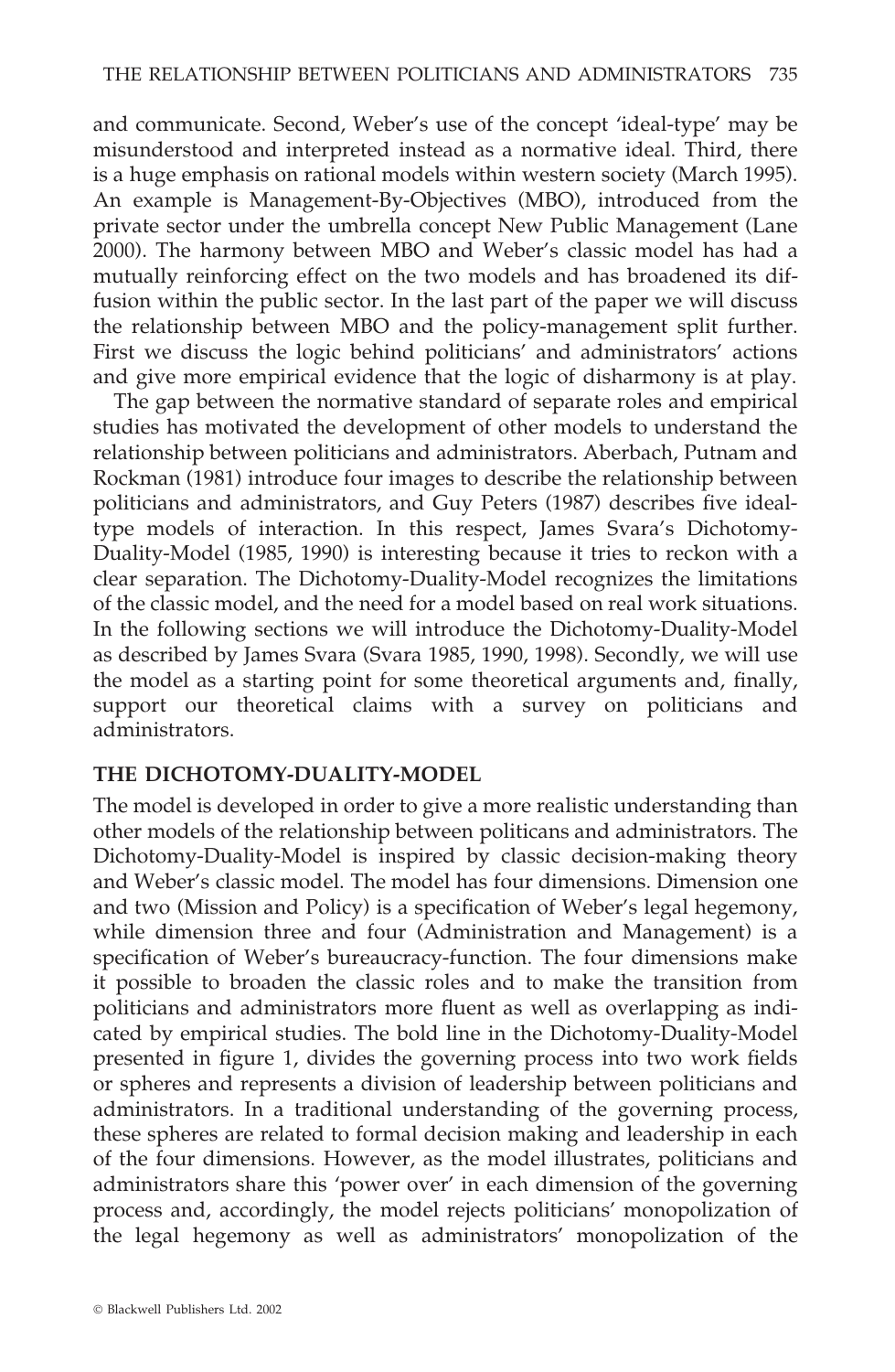and communicate. Second, Weber's use of the concept 'ideal-type' may be misunderstood and interpreted instead as a normative ideal. Third, there is a huge emphasis on rational models within western society (March 1995). An example is Management-By-Objectives (MBO), introduced from the private sector under the umbrella concept New Public Management (Lane 2000). The harmony between MBO and Weber's classic model has had a mutually reinforcing effect on the two models and has broadened its diffusion within the public sector. In the last part of the paper we will discuss the relationship between MBO and the policy-management split further. First we discuss the logic behind politicians' and administrators' actions and give more empirical evidence that the logic of disharmony is at play.

The gap between the normative standard of separate roles and empirical studies has motivated the development of other models to understand the relationship between politicians and administrators. Aberbach, Putnam and Rockman (1981) introduce four images to describe the relationship between politicians and administrators, and Guy Peters (1987) describes five idealtype models of interaction. In this respect, James Svara's Dichotomy-Duality-Model (1985, 1990) is interesting because it tries to reckon with a clear separation. The Dichotomy-Duality-Model recognizes the limitations of the classic model, and the need for a model based on real work situations. In the following sections we will introduce the Dichotomy-Duality-Model as described by James Svara (Svara 1985, 1990, 1998). Secondly, we will use the model as a starting point for some theoretical arguments and, finally, support our theoretical claims with a survey on politicians and administrators.

# **THE DICHOTOMY-DUALITY-MODEL**

The model is developed in order to give a more realistic understanding than other models of the relationship between politicans and administrators. The Dichotomy-Duality-Model is inspired by classic decision-making theory and Weber's classic model. The model has four dimensions. Dimension one and two (Mission and Policy) is a specification of Weber's legal hegemony, while dimension three and four (Administration and Management) is a specification of Weber's bureaucracy-function. The four dimensions make it possible to broaden the classic roles and to make the transition from politicians and administrators more fluent as well as overlapping as indicated by empirical studies. The bold line in the Dichotomy-Duality-Model presented in figure 1, divides the governing process into two work fields or spheres and represents a division of leadership between politicians and administrators. In a traditional understanding of the governing process, these spheres are related to formal decision making and leadership in each of the four dimensions. However, as the model illustrates, politicians and administrators share this 'power over' in each dimension of the governing process and, accordingly, the model rejects politicians' monopolization of the legal hegemony as well as administrators' monopolization of the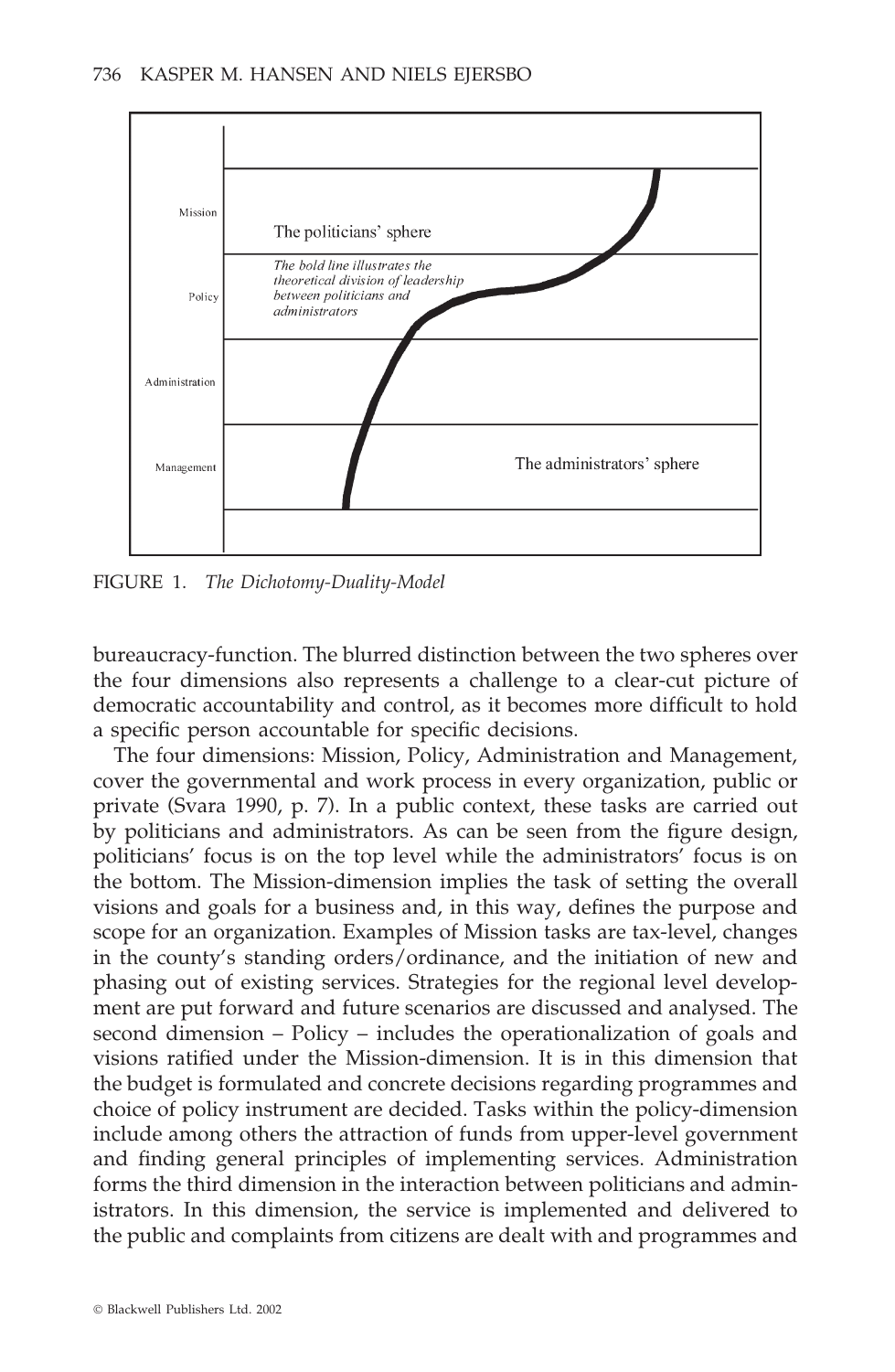

FIGURE 1. *The Dichotomy-Duality-Model*

bureaucracy-function. The blurred distinction between the two spheres over the four dimensions also represents a challenge to a clear-cut picture of democratic accountability and control, as it becomes more difficult to hold a specific person accountable for specific decisions.

The four dimensions: Mission, Policy, Administration and Management, cover the governmental and work process in every organization, public or private (Svara 1990, p. 7). In a public context, these tasks are carried out by politicians and administrators. As can be seen from the figure design, politicians' focus is on the top level while the administrators' focus is on the bottom. The Mission-dimension implies the task of setting the overall visions and goals for a business and, in this way, defines the purpose and scope for an organization. Examples of Mission tasks are tax-level, changes in the county's standing orders/ordinance, and the initiation of new and phasing out of existing services. Strategies for the regional level development are put forward and future scenarios are discussed and analysed. The second dimension – Policy – includes the operationalization of goals and visions ratified under the Mission-dimension. It is in this dimension that the budget is formulated and concrete decisions regarding programmes and choice of policy instrument are decided. Tasks within the policy-dimension include among others the attraction of funds from upper-level government and finding general principles of implementing services. Administration forms the third dimension in the interaction between politicians and administrators. In this dimension, the service is implemented and delivered to the public and complaints from citizens are dealt with and programmes and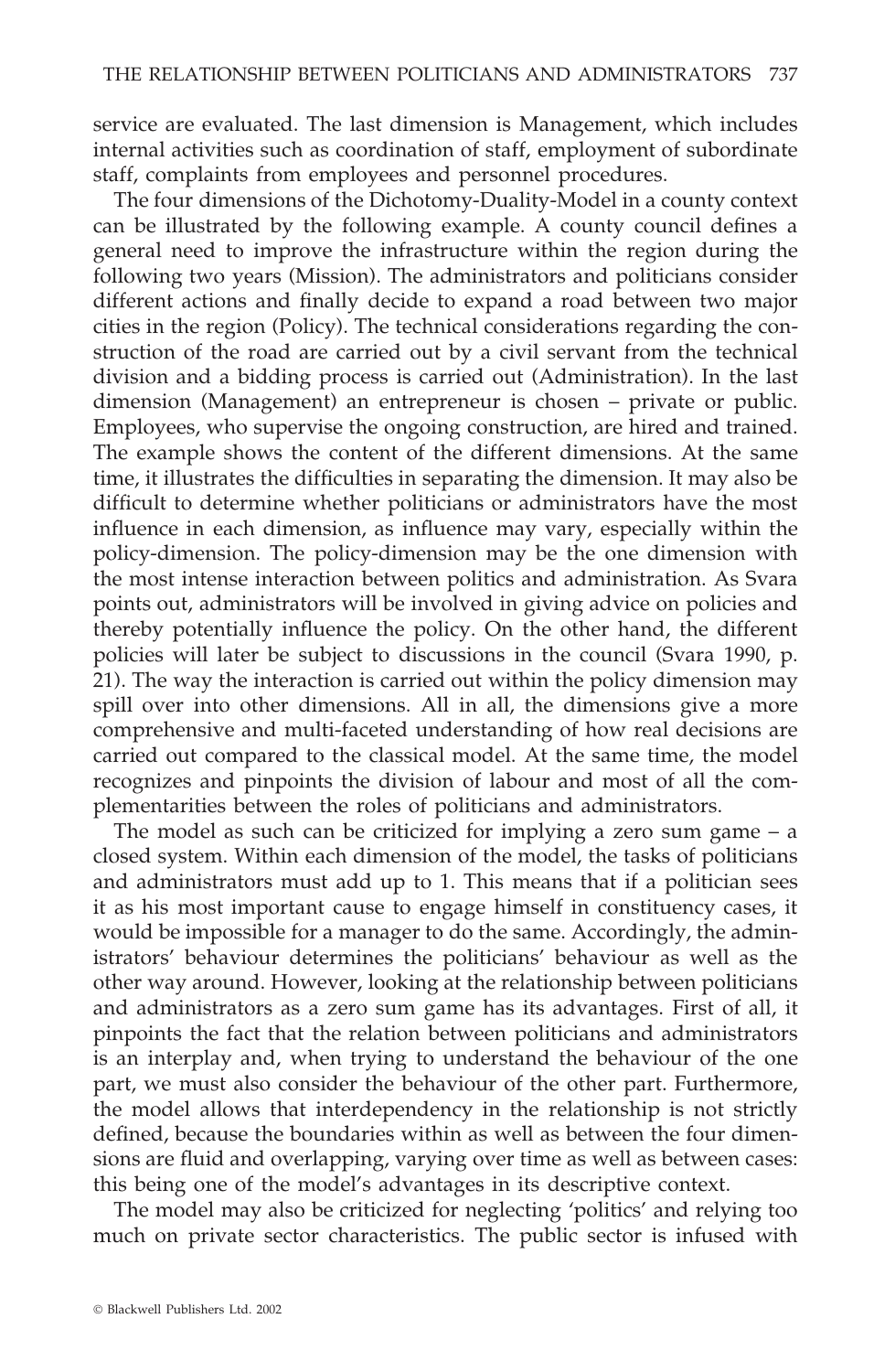service are evaluated. The last dimension is Management, which includes internal activities such as coordination of staff, employment of subordinate staff, complaints from employees and personnel procedures.

The four dimensions of the Dichotomy-Duality-Model in a county context can be illustrated by the following example. A county council defines a general need to improve the infrastructure within the region during the following two years (Mission). The administrators and politicians consider different actions and finally decide to expand a road between two major cities in the region (Policy). The technical considerations regarding the construction of the road are carried out by a civil servant from the technical division and a bidding process is carried out (Administration). In the last dimension (Management) an entrepreneur is chosen – private or public. Employees, who supervise the ongoing construction, are hired and trained. The example shows the content of the different dimensions. At the same time, it illustrates the difficulties in separating the dimension. It may also be difficult to determine whether politicians or administrators have the most influence in each dimension, as influence may vary, especially within the policy-dimension. The policy-dimension may be the one dimension with the most intense interaction between politics and administration. As Svara points out, administrators will be involved in giving advice on policies and thereby potentially influence the policy. On the other hand, the different policies will later be subject to discussions in the council (Svara 1990, p. 21). The way the interaction is carried out within the policy dimension may spill over into other dimensions. All in all, the dimensions give a more comprehensive and multi-faceted understanding of how real decisions are carried out compared to the classical model. At the same time, the model recognizes and pinpoints the division of labour and most of all the complementarities between the roles of politicians and administrators.

The model as such can be criticized for implying a zero sum game – a closed system. Within each dimension of the model, the tasks of politicians and administrators must add up to 1. This means that if a politician sees it as his most important cause to engage himself in constituency cases, it would be impossible for a manager to do the same. Accordingly, the administrators' behaviour determines the politicians' behaviour as well as the other way around. However, looking at the relationship between politicians and administrators as a zero sum game has its advantages. First of all, it pinpoints the fact that the relation between politicians and administrators is an interplay and, when trying to understand the behaviour of the one part, we must also consider the behaviour of the other part. Furthermore, the model allows that interdependency in the relationship is not strictly defined, because the boundaries within as well as between the four dimensions are fluid and overlapping, varying over time as well as between cases: this being one of the model's advantages in its descriptive context.

The model may also be criticized for neglecting 'politics' and relying too much on private sector characteristics. The public sector is infused with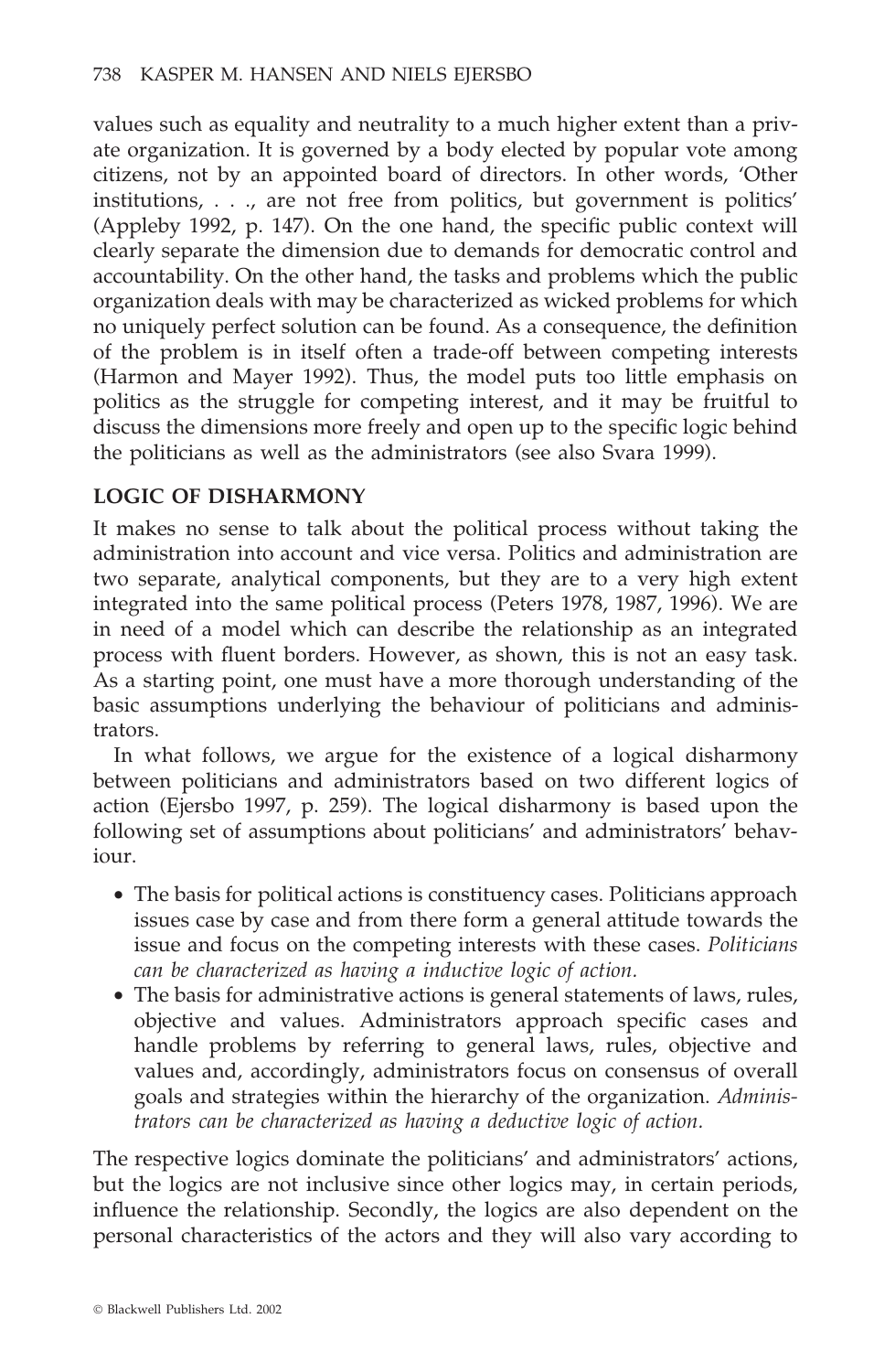values such as equality and neutrality to a much higher extent than a private organization. It is governed by a body elected by popular vote among citizens, not by an appointed board of directors. In other words, 'Other institutions, . . ., are not free from politics, but government is politics' (Appleby 1992, p. 147). On the one hand, the specific public context will clearly separate the dimension due to demands for democratic control and accountability. On the other hand, the tasks and problems which the public organization deals with may be characterized as wicked problems for which no uniquely perfect solution can be found. As a consequence, the definition of the problem is in itself often a trade-off between competing interests (Harmon and Mayer 1992). Thus, the model puts too little emphasis on politics as the struggle for competing interest, and it may be fruitful to discuss the dimensions more freely and open up to the specific logic behind the politicians as well as the administrators (see also Svara 1999).

# **LOGIC OF DISHARMONY**

It makes no sense to talk about the political process without taking the administration into account and vice versa. Politics and administration are two separate, analytical components, but they are to a very high extent integrated into the same political process (Peters 1978, 1987, 1996). We are in need of a model which can describe the relationship as an integrated process with fluent borders. However, as shown, this is not an easy task. As a starting point, one must have a more thorough understanding of the basic assumptions underlying the behaviour of politicians and administrators.

In what follows, we argue for the existence of a logical disharmony between politicians and administrators based on two different logics of action (Ejersbo 1997, p. 259). The logical disharmony is based upon the following set of assumptions about politicians' and administrators' behaviour.

- The basis for political actions is constituency cases. Politicians approach issues case by case and from there form a general attitude towards the issue and focus on the competing interests with these cases. *Politicians can be characterized as having a inductive logic of action.*
- The basis for administrative actions is general statements of laws, rules, objective and values. Administrators approach specific cases and handle problems by referring to general laws, rules, objective and values and, accordingly, administrators focus on consensus of overall goals and strategies within the hierarchy of the organization. *Administrators can be characterized as having a deductive logic of action.*

The respective logics dominate the politicians' and administrators' actions, but the logics are not inclusive since other logics may, in certain periods, influence the relationship. Secondly, the logics are also dependent on the personal characteristics of the actors and they will also vary according to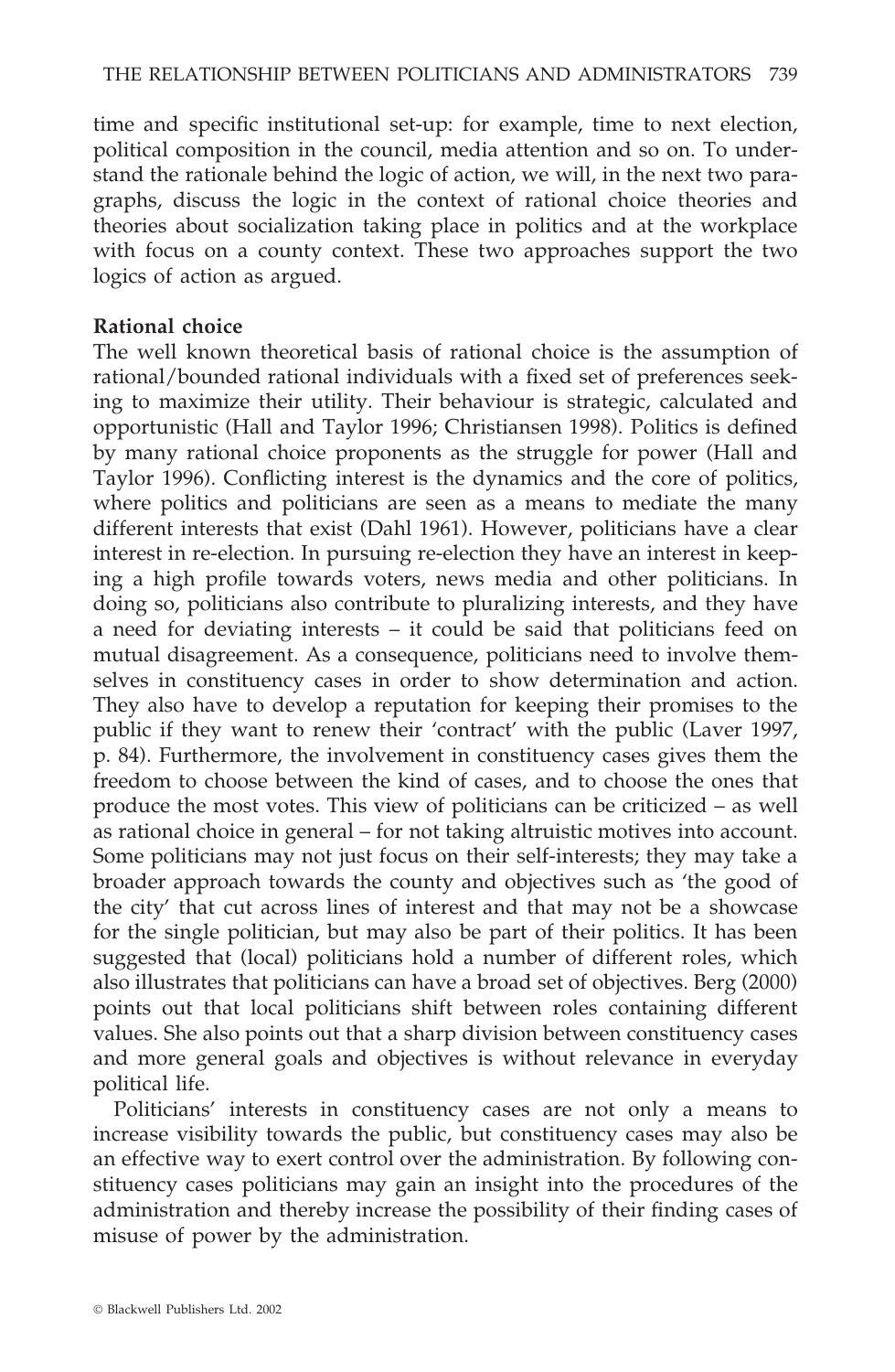time and specific institutional set-up: for example, time to next election, political composition in the council, media attention and so on. To understand the rationale behind the logic of action, we will, in the next two paragraphs, discuss the logic in the context of rational choice theories and theories about socialization taking place in politics and at the workplace with focus on a county context. These two approaches support the two logics of action as argued.

#### **Rational choice**

The well known theoretical basis of rational choice is the assumption of rational/bounded rational individuals with a fixed set of preferences seeking to maximize their utility. Their behaviour is strategic, calculated and opportunistic (Hall and Taylor 1996; Christiansen 1998). Politics is defined by many rational choice proponents as the struggle for power (Hall and Taylor 1996). Conflicting interest is the dynamics and the core of politics, where politics and politicians are seen as a means to mediate the many different interests that exist (Dahl 1961). However, politicians have a clear interest in re-election. In pursuing re-election they have an interest in keeping a high profile towards voters, news media and other politicians. In doing so, politicians also contribute to pluralizing interests, and they have a need for deviating interests – it could be said that politicians feed on mutual disagreement. As a consequence, politicians need to involve themselves in constituency cases in order to show determination and action. They also have to develop a reputation for keeping their promises to the public if they want to renew their 'contract' with the public (Laver 1997, p. 84). Furthermore, the involvement in constituency cases gives them the freedom to choose between the kind of cases, and to choose the ones that produce the most votes. This view of politicians can be criticized – as well as rational choice in general – for not taking altruistic motives into account. Some politicians may not just focus on their self-interests; they may take a broader approach towards the county and objectives such as 'the good of the city' that cut across lines of interest and that may not be a showcase for the single politician, but may also be part of their politics. It has been suggested that (local) politicians hold a number of different roles, which also illustrates that politicians can have a broad set of objectives. Berg (2000) points out that local politicians shift between roles containing different values. She also points out that a sharp division between constituency cases and more general goals and objectives is without relevance in everyday political life.

Politicians' interests in constituency cases are not only a means to increase visibility towards the public, but constituency cases may also be an effective way to exert control over the administration. By following constituency cases politicians may gain an insight into the procedures of the administration and thereby increase the possibility of their finding cases of misuse of power by the administration.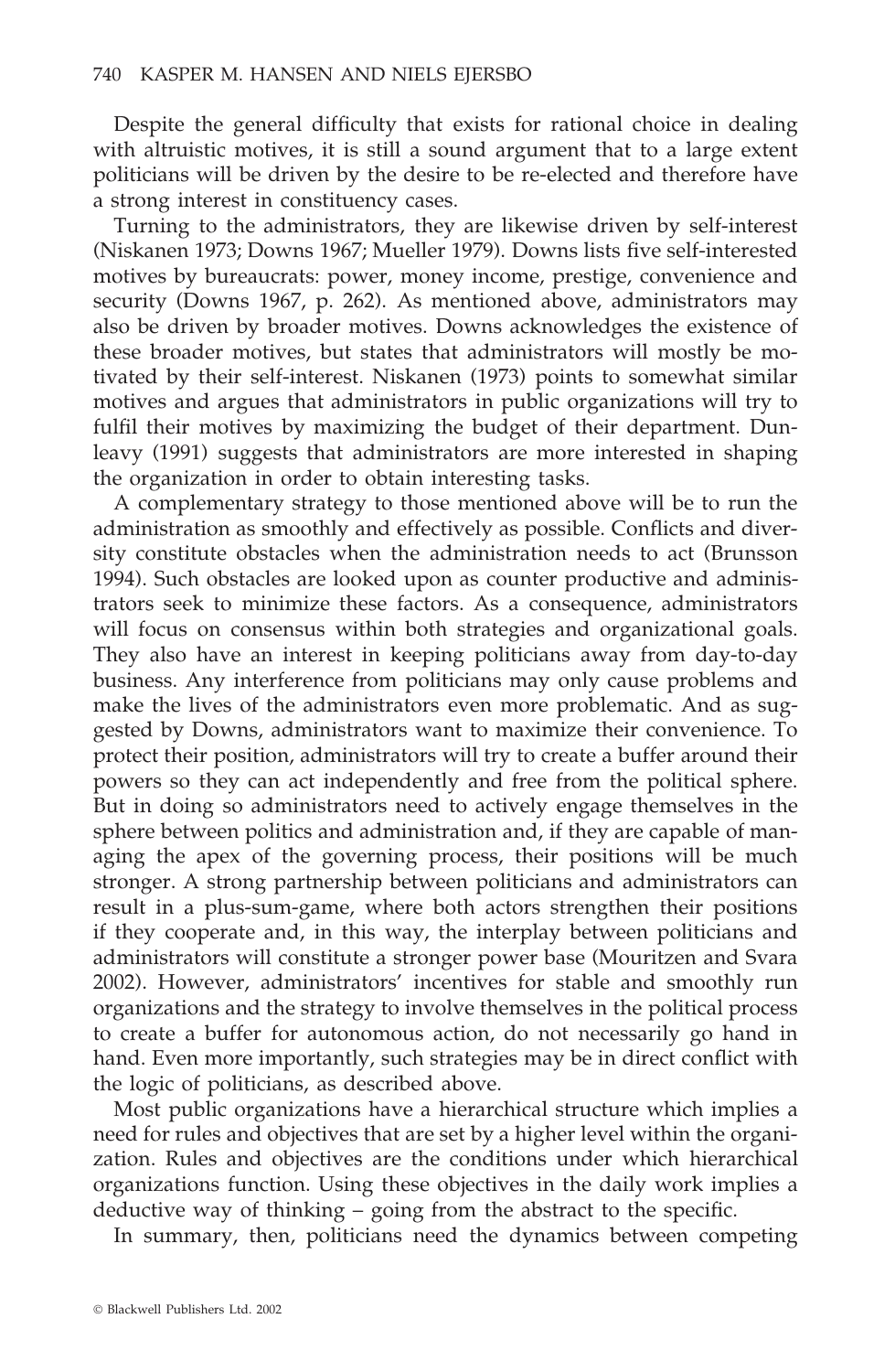Despite the general difficulty that exists for rational choice in dealing with altruistic motives, it is still a sound argument that to a large extent politicians will be driven by the desire to be re-elected and therefore have a strong interest in constituency cases.

Turning to the administrators, they are likewise driven by self-interest (Niskanen 1973; Downs 1967; Mueller 1979). Downs lists five self-interested motives by bureaucrats: power, money income, prestige, convenience and security (Downs 1967, p. 262). As mentioned above, administrators may also be driven by broader motives. Downs acknowledges the existence of these broader motives, but states that administrators will mostly be motivated by their self-interest. Niskanen (1973) points to somewhat similar motives and argues that administrators in public organizations will try to fulfil their motives by maximizing the budget of their department. Dunleavy (1991) suggests that administrators are more interested in shaping the organization in order to obtain interesting tasks.

A complementary strategy to those mentioned above will be to run the administration as smoothly and effectively as possible. Conflicts and diversity constitute obstacles when the administration needs to act (Brunsson 1994). Such obstacles are looked upon as counter productive and administrators seek to minimize these factors. As a consequence, administrators will focus on consensus within both strategies and organizational goals. They also have an interest in keeping politicians away from day-to-day business. Any interference from politicians may only cause problems and make the lives of the administrators even more problematic. And as suggested by Downs, administrators want to maximize their convenience. To protect their position, administrators will try to create a buffer around their powers so they can act independently and free from the political sphere. But in doing so administrators need to actively engage themselves in the sphere between politics and administration and, if they are capable of managing the apex of the governing process, their positions will be much stronger. A strong partnership between politicians and administrators can result in a plus-sum-game, where both actors strengthen their positions if they cooperate and, in this way, the interplay between politicians and administrators will constitute a stronger power base (Mouritzen and Svara 2002). However, administrators' incentives for stable and smoothly run organizations and the strategy to involve themselves in the political process to create a buffer for autonomous action, do not necessarily go hand in hand. Even more importantly, such strategies may be in direct conflict with the logic of politicians, as described above.

Most public organizations have a hierarchical structure which implies a need for rules and objectives that are set by a higher level within the organization. Rules and objectives are the conditions under which hierarchical organizations function. Using these objectives in the daily work implies a deductive way of thinking – going from the abstract to the specific.

In summary, then, politicians need the dynamics between competing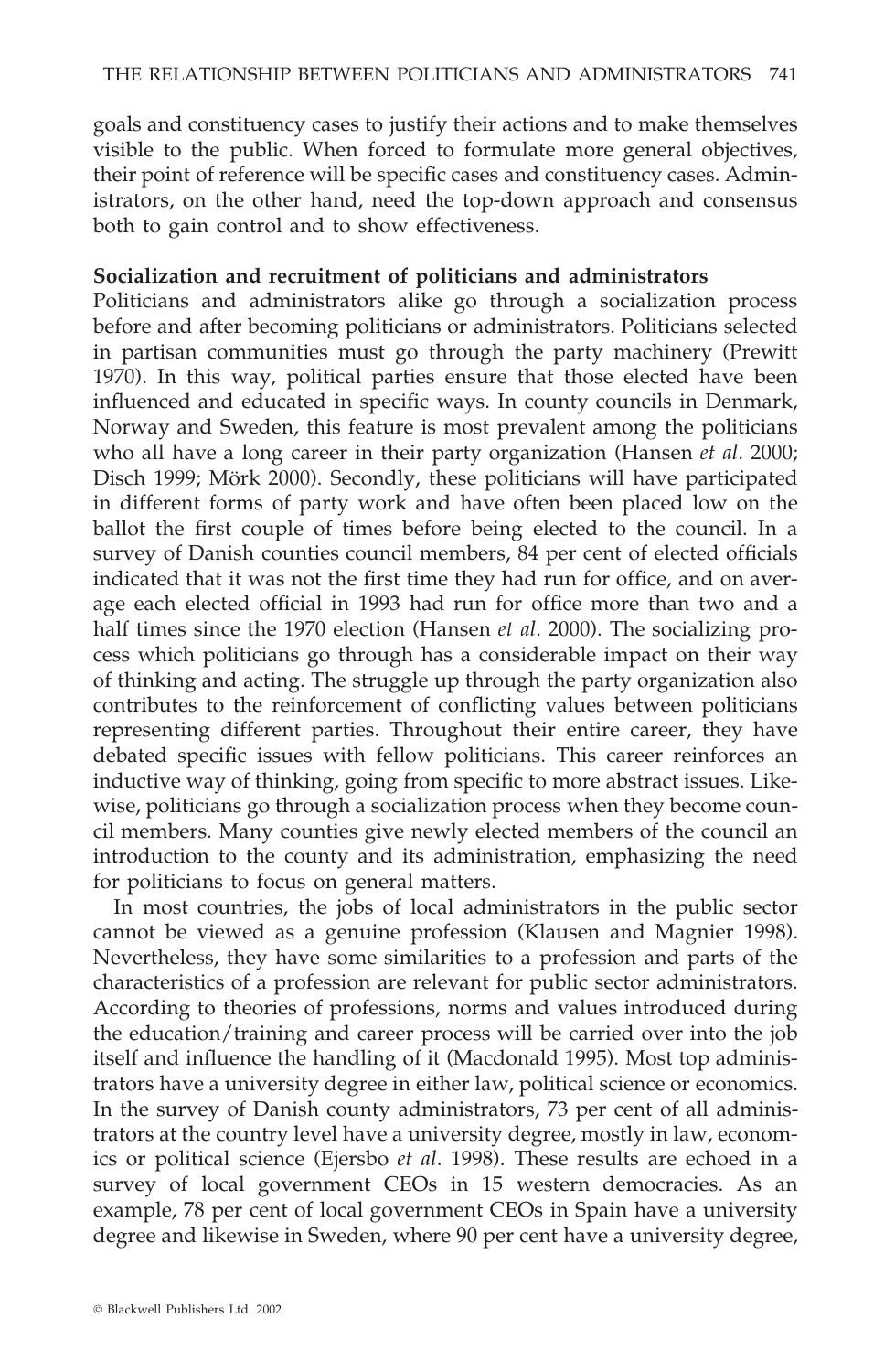goals and constituency cases to justify their actions and to make themselves visible to the public. When forced to formulate more general objectives, their point of reference will be specific cases and constituency cases. Administrators, on the other hand, need the top-down approach and consensus both to gain control and to show effectiveness.

#### **Socialization and recruitment of politicians and administrators**

Politicians and administrators alike go through a socialization process before and after becoming politicians or administrators. Politicians selected in partisan communities must go through the party machinery (Prewitt 1970). In this way, political parties ensure that those elected have been influenced and educated in specific ways. In county councils in Denmark, Norway and Sweden, this feature is most prevalent among the politicians who all have a long career in their party organization (Hansen *et al*. 2000; Disch 1999; Mörk 2000). Secondly, these politicians will have participated in different forms of party work and have often been placed low on the ballot the first couple of times before being elected to the council. In a survey of Danish counties council members, 84 per cent of elected officials indicated that it was not the first time they had run for office, and on average each elected official in 1993 had run for office more than two and a half times since the 1970 election (Hansen *et al*. 2000). The socializing process which politicians go through has a considerable impact on their way of thinking and acting. The struggle up through the party organization also contributes to the reinforcement of conflicting values between politicians representing different parties. Throughout their entire career, they have debated specific issues with fellow politicians. This career reinforces an inductive way of thinking, going from specific to more abstract issues. Likewise, politicians go through a socialization process when they become council members. Many counties give newly elected members of the council an introduction to the county and its administration, emphasizing the need for politicians to focus on general matters.

In most countries, the jobs of local administrators in the public sector cannot be viewed as a genuine profession (Klausen and Magnier 1998). Nevertheless, they have some similarities to a profession and parts of the characteristics of a profession are relevant for public sector administrators. According to theories of professions, norms and values introduced during the education/training and career process will be carried over into the job itself and influence the handling of it (Macdonald 1995). Most top administrators have a university degree in either law, political science or economics. In the survey of Danish county administrators, 73 per cent of all administrators at the country level have a university degree, mostly in law, economics or political science (Ejersbo *et al*. 1998). These results are echoed in a survey of local government CEOs in 15 western democracies. As an example, 78 per cent of local government CEOs in Spain have a university degree and likewise in Sweden, where 90 per cent have a university degree,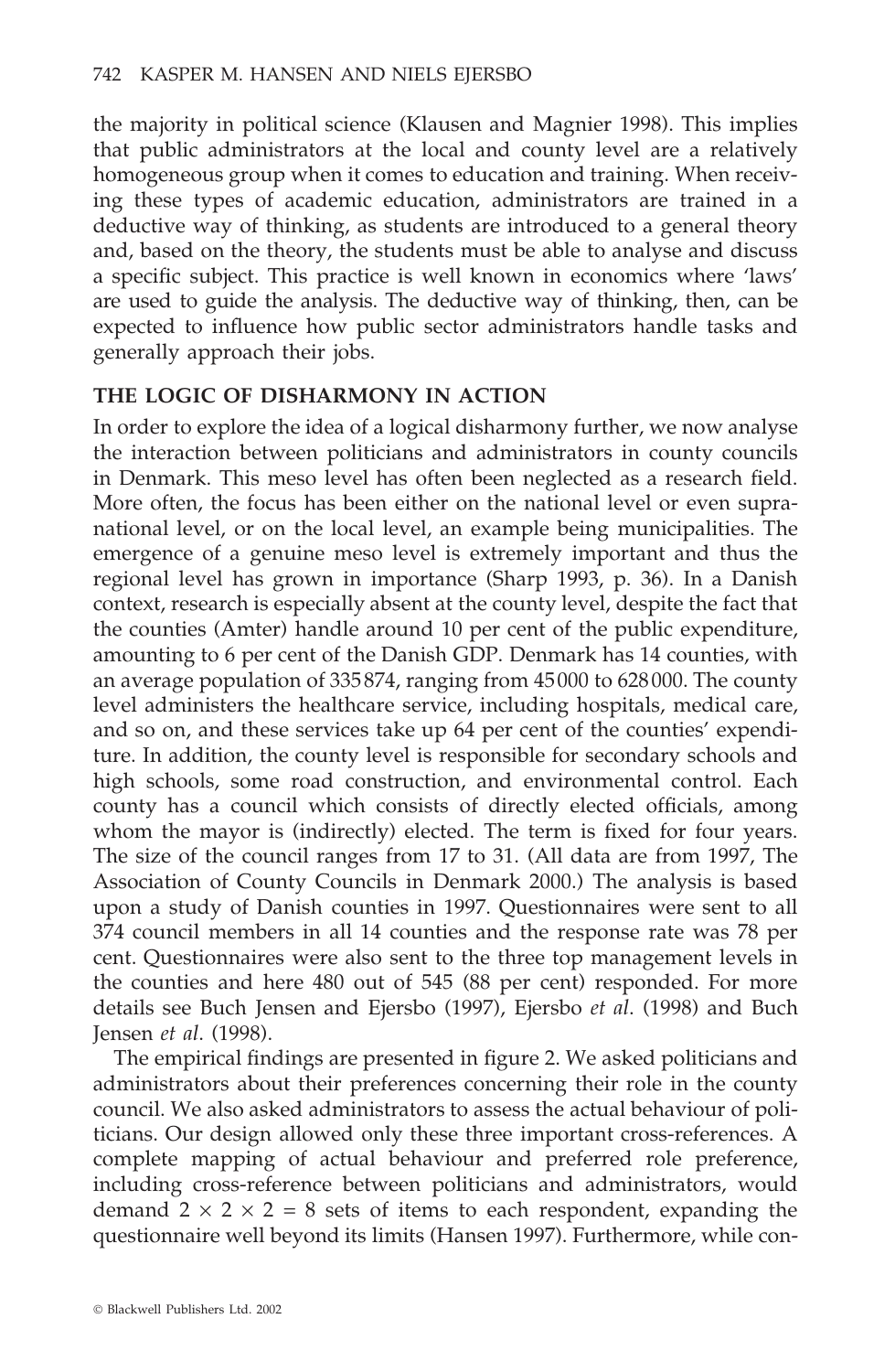the majority in political science (Klausen and Magnier 1998). This implies that public administrators at the local and county level are a relatively homogeneous group when it comes to education and training. When receiving these types of academic education, administrators are trained in a deductive way of thinking, as students are introduced to a general theory and, based on the theory, the students must be able to analyse and discuss a specific subject. This practice is well known in economics where 'laws' are used to guide the analysis. The deductive way of thinking, then, can be expected to influence how public sector administrators handle tasks and generally approach their jobs.

# **THE LOGIC OF DISHARMONY IN ACTION**

In order to explore the idea of a logical disharmony further, we now analyse the interaction between politicians and administrators in county councils in Denmark. This meso level has often been neglected as a research field. More often, the focus has been either on the national level or even supranational level, or on the local level, an example being municipalities. The emergence of a genuine meso level is extremely important and thus the regional level has grown in importance (Sharp 1993, p. 36). In a Danish context, research is especially absent at the county level, despite the fact that the counties (Amter) handle around 10 per cent of the public expenditure, amounting to 6 per cent of the Danish GDP. Denmark has 14 counties, with an average population of 335874, ranging from 45000 to 628000. The county level administers the healthcare service, including hospitals, medical care, and so on, and these services take up 64 per cent of the counties' expenditure. In addition, the county level is responsible for secondary schools and high schools, some road construction, and environmental control. Each county has a council which consists of directly elected officials, among whom the mayor is (indirectly) elected. The term is fixed for four years. The size of the council ranges from 17 to 31. (All data are from 1997, The Association of County Councils in Denmark 2000.) The analysis is based upon a study of Danish counties in 1997. Questionnaires were sent to all 374 council members in all 14 counties and the response rate was 78 per cent. Questionnaires were also sent to the three top management levels in the counties and here 480 out of 545 (88 per cent) responded. For more details see Buch Jensen and Ejersbo (1997), Ejersbo *et al*. (1998) and Buch Jensen *et al*. (1998).

The empirical findings are presented in figure 2. We asked politicians and administrators about their preferences concerning their role in the county council. We also asked administrators to assess the actual behaviour of politicians. Our design allowed only these three important cross-references. A complete mapping of actual behaviour and preferred role preference, including cross-reference between politicians and administrators, would demand  $2 \times 2 \times 2 = 8$  sets of items to each respondent, expanding the questionnaire well beyond its limits (Hansen 1997). Furthermore, while con-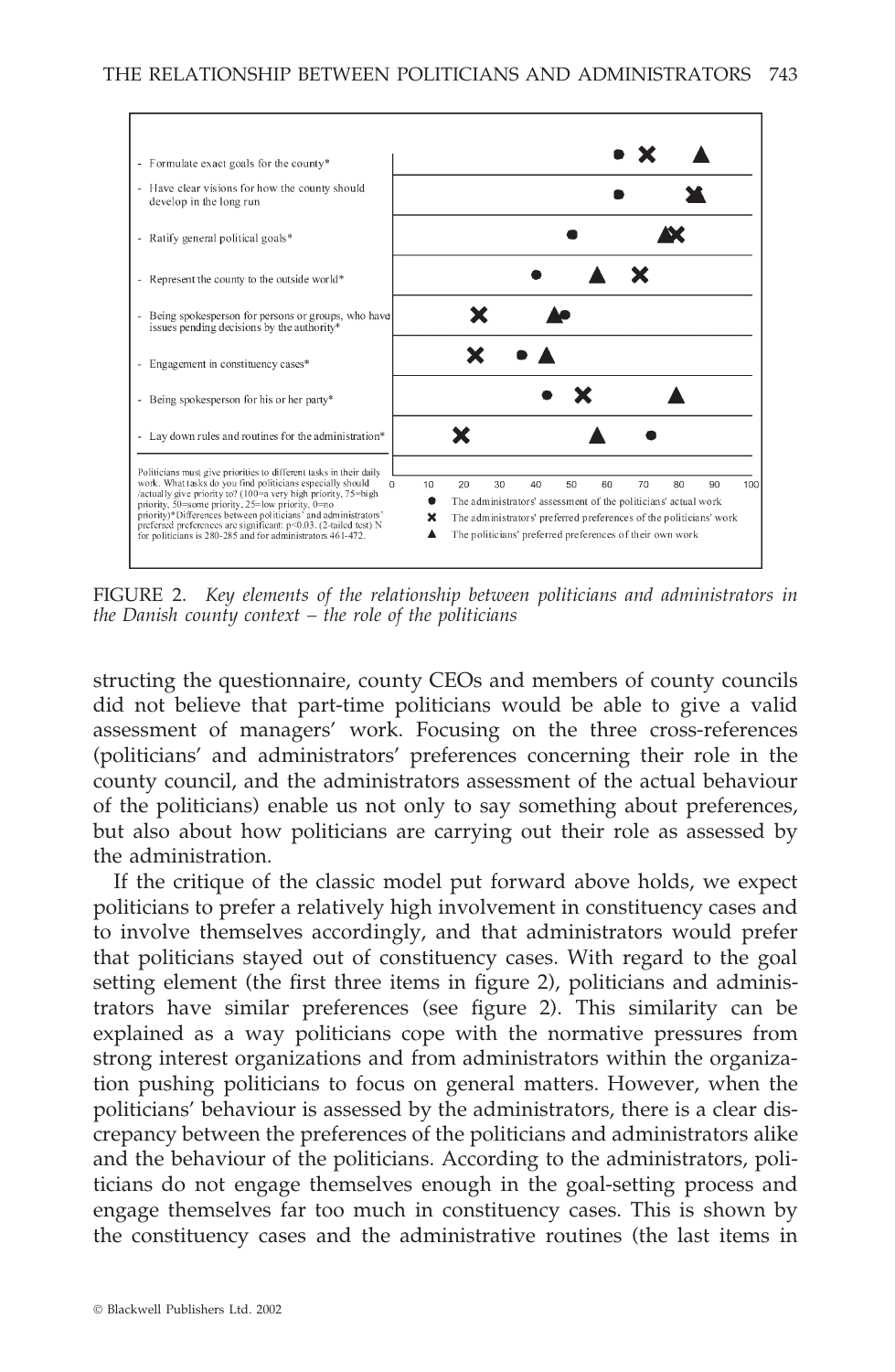

FIGURE 2. *Key elements of the relationship between politicians and administrators in the Danish county context – the role of the politicians*

structing the questionnaire, county CEOs and members of county councils did not believe that part-time politicians would be able to give a valid assessment of managers' work. Focusing on the three cross-references (politicians' and administrators' preferences concerning their role in the county council, and the administrators assessment of the actual behaviour of the politicians) enable us not only to say something about preferences, but also about how politicians are carrying out their role as assessed by the administration.

If the critique of the classic model put forward above holds, we expect politicians to prefer a relatively high involvement in constituency cases and to involve themselves accordingly, and that administrators would prefer that politicians stayed out of constituency cases. With regard to the goal setting element (the first three items in figure 2), politicians and administrators have similar preferences (see figure 2). This similarity can be explained as a way politicians cope with the normative pressures from strong interest organizations and from administrators within the organization pushing politicians to focus on general matters. However, when the politicians' behaviour is assessed by the administrators, there is a clear discrepancy between the preferences of the politicians and administrators alike and the behaviour of the politicians. According to the administrators, politicians do not engage themselves enough in the goal-setting process and engage themselves far too much in constituency cases. This is shown by the constituency cases and the administrative routines (the last items in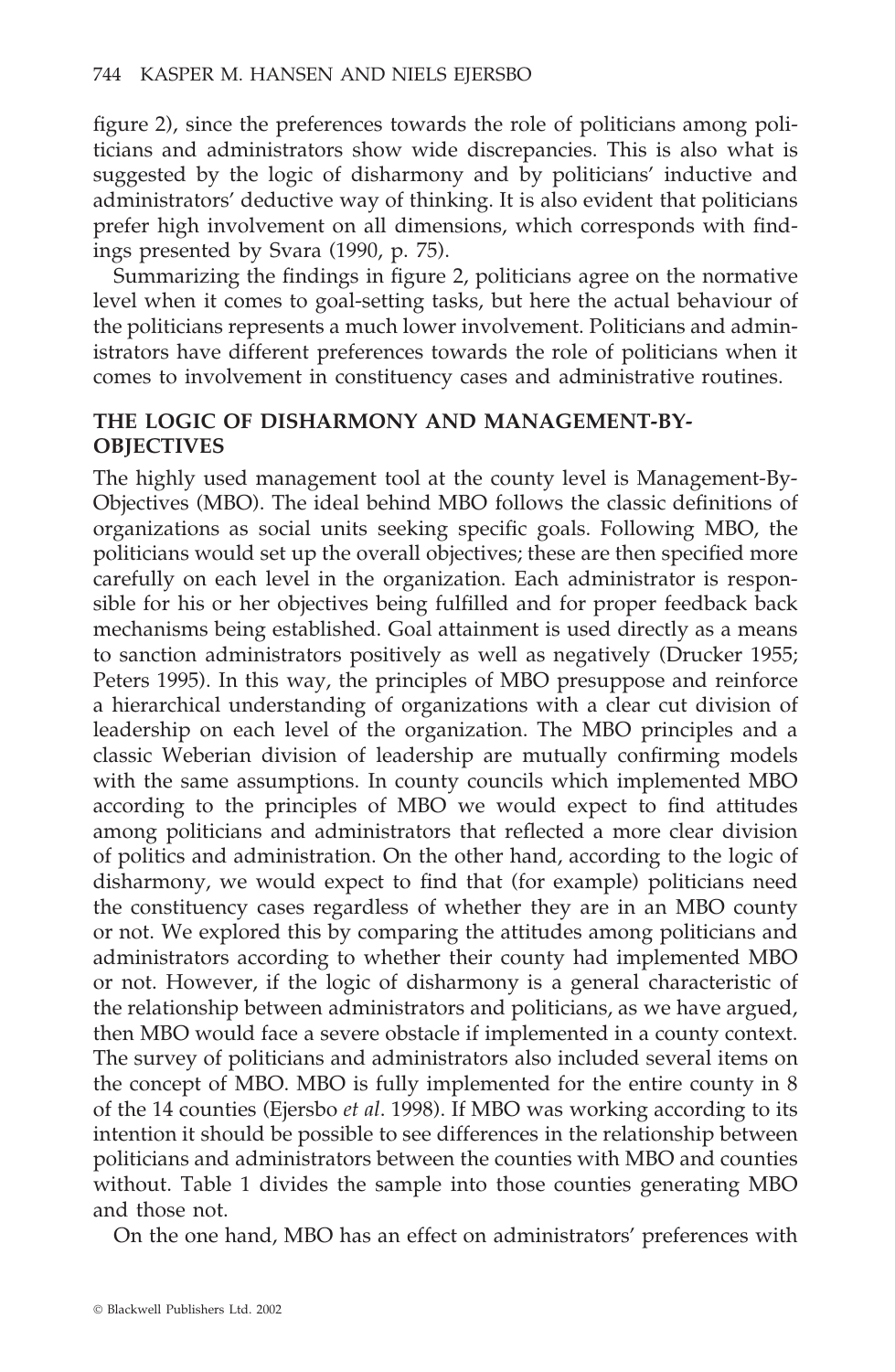figure 2), since the preferences towards the role of politicians among politicians and administrators show wide discrepancies. This is also what is suggested by the logic of disharmony and by politicians' inductive and administrators' deductive way of thinking. It is also evident that politicians prefer high involvement on all dimensions, which corresponds with findings presented by Svara (1990, p. 75).

Summarizing the findings in figure 2, politicians agree on the normative level when it comes to goal-setting tasks, but here the actual behaviour of the politicians represents a much lower involvement. Politicians and administrators have different preferences towards the role of politicians when it comes to involvement in constituency cases and administrative routines.

# **THE LOGIC OF DISHARMONY AND MANAGEMENT-BY-OBJECTIVES**

The highly used management tool at the county level is Management-By-Objectives (MBO). The ideal behind MBO follows the classic definitions of organizations as social units seeking specific goals. Following MBO, the politicians would set up the overall objectives; these are then specified more carefully on each level in the organization. Each administrator is responsible for his or her objectives being fulfilled and for proper feedback back mechanisms being established. Goal attainment is used directly as a means to sanction administrators positively as well as negatively (Drucker 1955; Peters 1995). In this way, the principles of MBO presuppose and reinforce a hierarchical understanding of organizations with a clear cut division of leadership on each level of the organization. The MBO principles and a classic Weberian division of leadership are mutually confirming models with the same assumptions. In county councils which implemented MBO according to the principles of MBO we would expect to find attitudes among politicians and administrators that reflected a more clear division of politics and administration. On the other hand, according to the logic of disharmony, we would expect to find that (for example) politicians need the constituency cases regardless of whether they are in an MBO county or not. We explored this by comparing the attitudes among politicians and administrators according to whether their county had implemented MBO or not. However, if the logic of disharmony is a general characteristic of the relationship between administrators and politicians, as we have argued, then MBO would face a severe obstacle if implemented in a county context. The survey of politicians and administrators also included several items on the concept of MBO. MBO is fully implemented for the entire county in 8 of the 14 counties (Ejersbo *et al*. 1998). If MBO was working according to its intention it should be possible to see differences in the relationship between politicians and administrators between the counties with MBO and counties without. Table 1 divides the sample into those counties generating MBO and those not.

On the one hand, MBO has an effect on administrators' preferences with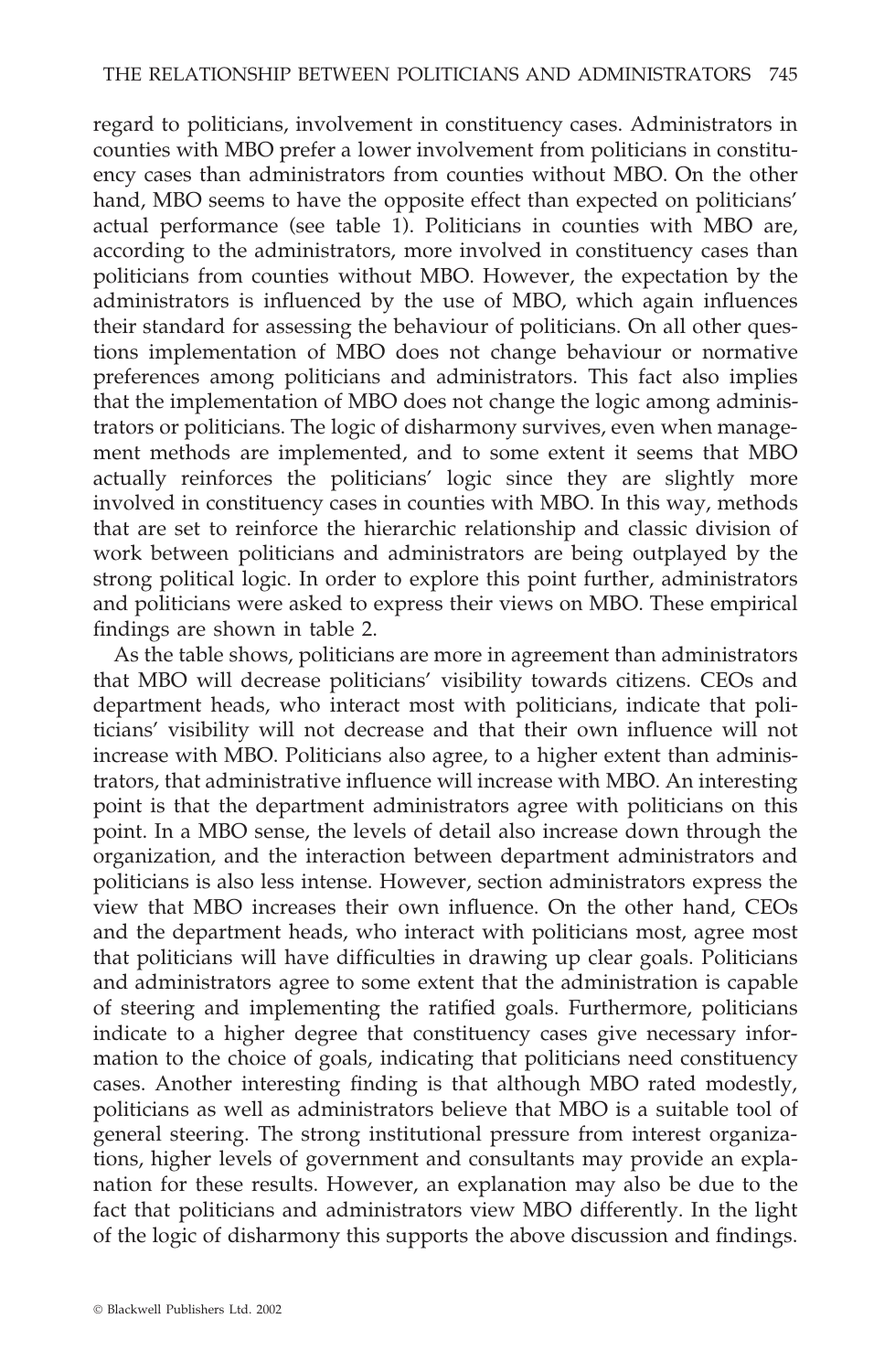regard to politicians, involvement in constituency cases. Administrators in counties with MBO prefer a lower involvement from politicians in constituency cases than administrators from counties without MBO. On the other hand, MBO seems to have the opposite effect than expected on politicians' actual performance (see table 1). Politicians in counties with MBO are, according to the administrators, more involved in constituency cases than politicians from counties without MBO. However, the expectation by the administrators is influenced by the use of MBO, which again influences their standard for assessing the behaviour of politicians. On all other questions implementation of MBO does not change behaviour or normative preferences among politicians and administrators. This fact also implies that the implementation of MBO does not change the logic among administrators or politicians. The logic of disharmony survives, even when management methods are implemented, and to some extent it seems that MBO actually reinforces the politicians' logic since they are slightly more involved in constituency cases in counties with MBO. In this way, methods that are set to reinforce the hierarchic relationship and classic division of work between politicians and administrators are being outplayed by the strong political logic. In order to explore this point further, administrators and politicians were asked to express their views on MBO. These empirical findings are shown in table 2.

As the table shows, politicians are more in agreement than administrators that MBO will decrease politicians' visibility towards citizens. CEOs and department heads, who interact most with politicians, indicate that politicians' visibility will not decrease and that their own influence will not increase with MBO. Politicians also agree, to a higher extent than administrators, that administrative influence will increase with MBO. An interesting point is that the department administrators agree with politicians on this point. In a MBO sense, the levels of detail also increase down through the organization, and the interaction between department administrators and politicians is also less intense. However, section administrators express the view that MBO increases their own influence. On the other hand, CEOs and the department heads, who interact with politicians most, agree most that politicians will have difficulties in drawing up clear goals. Politicians and administrators agree to some extent that the administration is capable of steering and implementing the ratified goals. Furthermore, politicians indicate to a higher degree that constituency cases give necessary information to the choice of goals, indicating that politicians need constituency cases. Another interesting finding is that although MBO rated modestly, politicians as well as administrators believe that MBO is a suitable tool of general steering. The strong institutional pressure from interest organizations, higher levels of government and consultants may provide an explanation for these results. However, an explanation may also be due to the fact that politicians and administrators view MBO differently. In the light of the logic of disharmony this supports the above discussion and findings.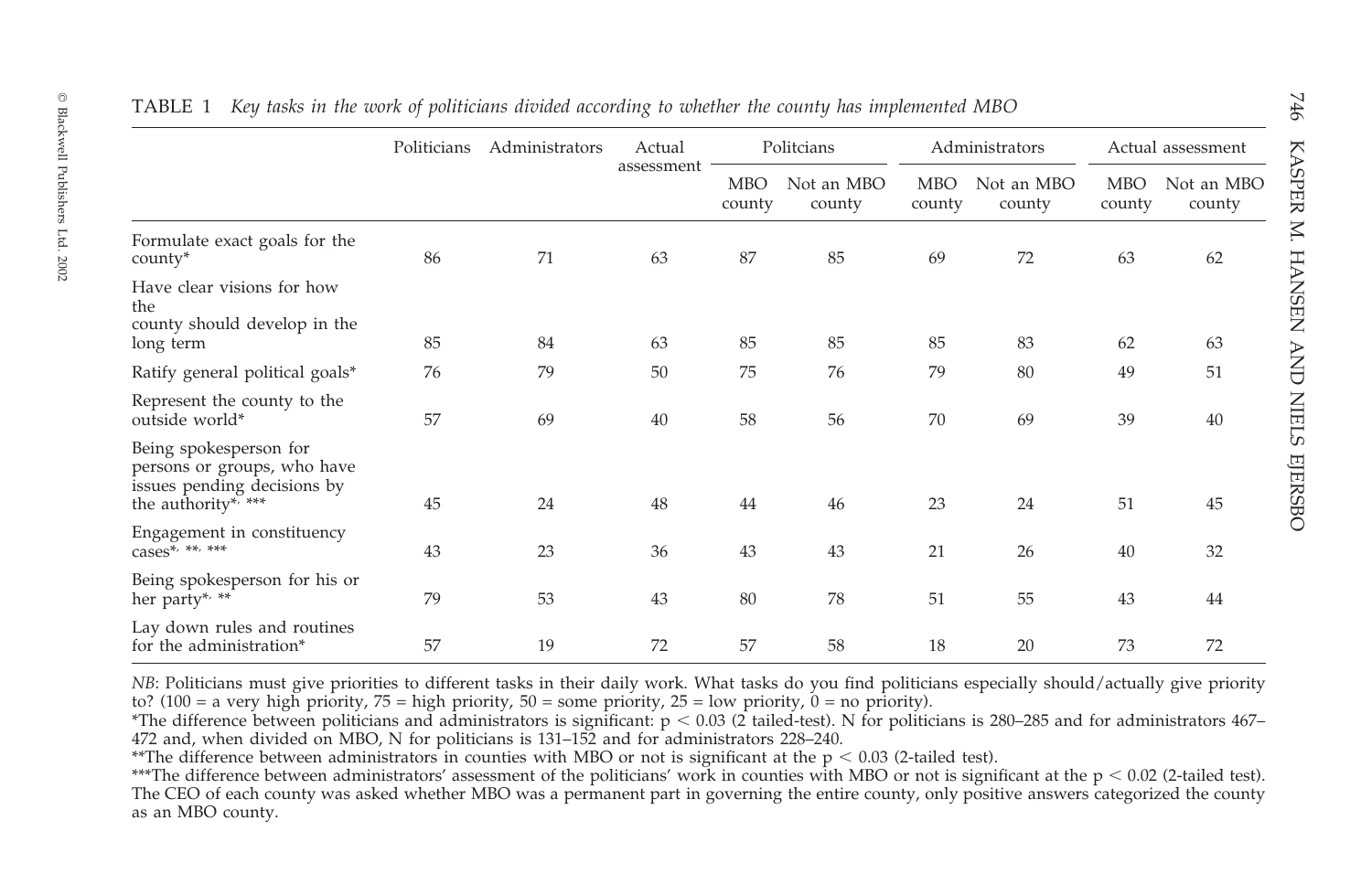|                                                                                                             | Politicians | Administrators | Actual<br>assessment | Politcians           |                      | Administrators       |                      | Actual assessment    |                      |
|-------------------------------------------------------------------------------------------------------------|-------------|----------------|----------------------|----------------------|----------------------|----------------------|----------------------|----------------------|----------------------|
|                                                                                                             |             |                |                      | <b>MBO</b><br>county | Not an MBO<br>county | <b>MBO</b><br>county | Not an MBO<br>county | <b>MBO</b><br>county | Not an MBO<br>county |
| Formulate exact goals for the<br>county*                                                                    | 86          | 71             | 63                   | 87                   | 85                   | 69                   | 72                   | 63                   | 62                   |
| Have clear visions for how<br>the<br>county should develop in the                                           |             |                |                      |                      |                      |                      |                      |                      |                      |
| long term                                                                                                   | 85          | 84             | 63                   | 85                   | 85                   | 85                   | 83                   | 62                   | 63                   |
| Ratify general political goals*                                                                             | 76          | 79             | 50                   | 75                   | 76                   | 79                   | 80                   | 49                   | 51                   |
| Represent the county to the<br>outside world*                                                               | 57          | 69             | 40                   | 58                   | 56                   | 70                   | 69                   | 39                   | 40                   |
| Being spokesperson for<br>persons or groups, who have<br>issues pending decisions by<br>the authority*, *** | 45          | 24             | 48                   | 44                   | 46                   | 23                   | 24                   | 51                   | 45                   |
| Engagement in constituency<br>$cases^{\bar{*}, **, **}$                                                     | 43          | 23             | 36                   | 43                   | 43                   | 21                   | 26                   | 40                   | 32                   |
| Being spokesperson for his or<br>her party*, **                                                             | 79          | 53             | 43                   | 80                   | 78                   | 51                   | 55                   | 43                   | 44                   |
| Lay down rules and routines<br>for the administration*                                                      | 57          | 19             | 72                   | 57                   | 58                   | 18                   | 20                   | 73                   | 72                   |

*NB*: Politicians must give priorities to different tasks in their daily work. What tasks do you find politicians especially should/actually give priority to? (100 = a very high priority,  $75 =$  high priority,  $50 =$  some priority,  $25 =$  low priority,  $0 =$  no priority).

 $^*$ The difference between politicians and administrators is significant: p < 0.03 (2 tailed-test). N for politicians is 280–285 and for administrators 467– <sup>472</sup> and, when divided on MBO, N for politicians is 131–152 and for administrators 228–240.

\*\*The difference between administrators in counties with MBO or not is significant at the p < 0.03 (2-tailed test).

\*\*\*The difference between administrators' assessment of the politicians' work in counties with MBO or not is significant at the p < 0.02 (2-tailed test). The CEO of each county was asked whether MBO was <sup>a</sup> permanen<sup>t</sup> par<sup>t</sup> in governing the entire county, only positive answers categorized the county as an MBO county.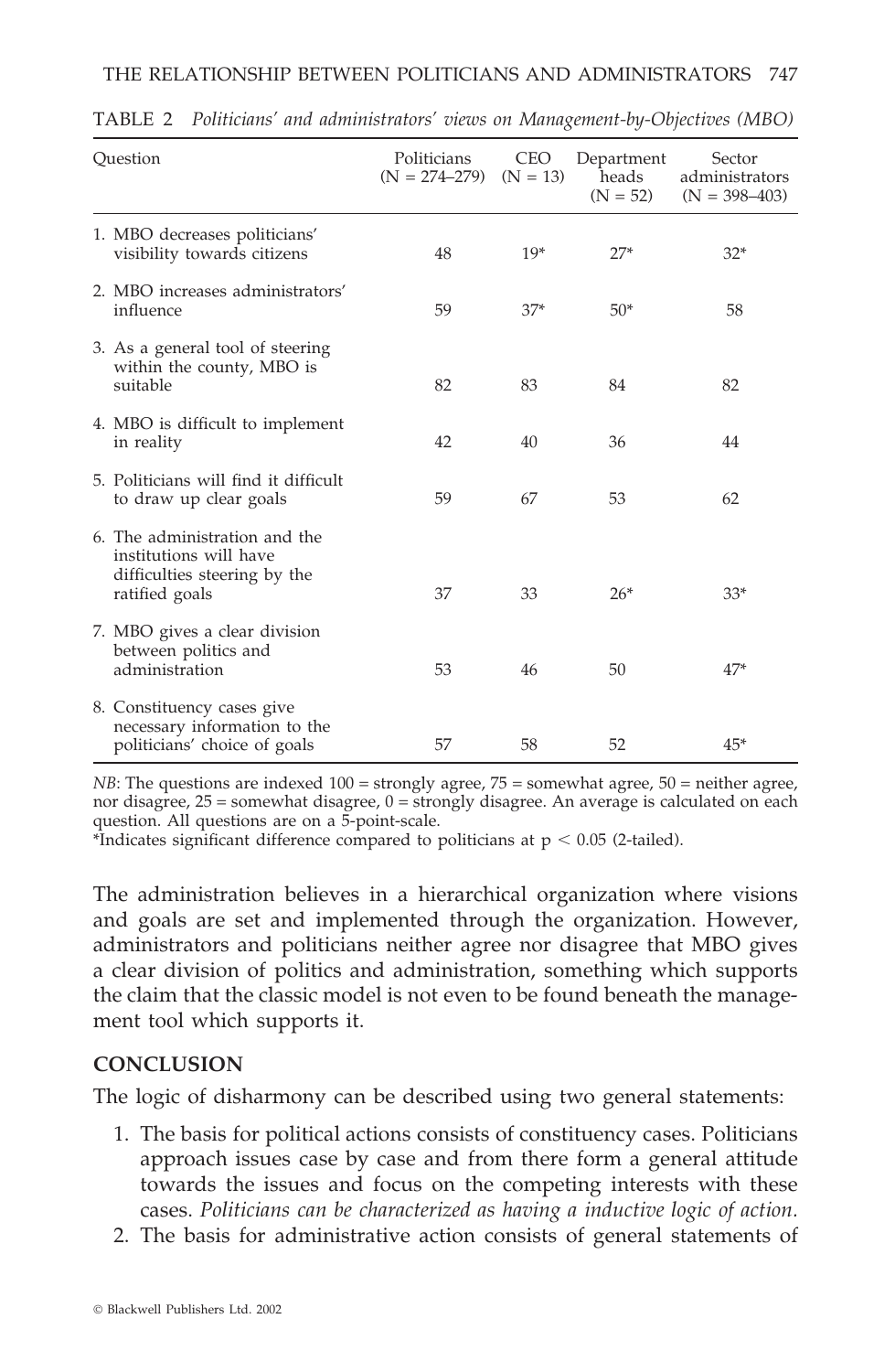| Ouestion                                                                                                  | Politicians<br>$(N = 274 - 279)$ | <b>CEO</b><br>$(N = 13)$ | Department<br>heads<br>$(N = 52)$ | Sector<br>administrators<br>$(N = 398 - 403)$ |
|-----------------------------------------------------------------------------------------------------------|----------------------------------|--------------------------|-----------------------------------|-----------------------------------------------|
| 1. MBO decreases politicians'<br>visibility towards citizens                                              | 48                               | $19*$                    | $27*$                             | $32*$                                         |
| 2. MBO increases administrators'<br>influence                                                             | 59                               | $37*$                    | $50*$                             | 58                                            |
| 3. As a general tool of steering<br>within the county, MBO is<br>suitable                                 | 82                               | 83                       | 84                                | 82                                            |
| 4. MBO is difficult to implement<br>in reality                                                            | 42                               | 40                       | 36                                | 44                                            |
| 5. Politicians will find it difficult<br>to draw up clear goals                                           | 59                               | 67                       | 53                                | 62                                            |
| 6. The administration and the<br>institutions will have<br>difficulties steering by the<br>ratified goals | 37                               | 33                       | $26*$                             | $33*$                                         |
| 7. MBO gives a clear division<br>between politics and<br>administration                                   | 53                               | 46                       | 50                                | $47*$                                         |
| 8. Constituency cases give<br>necessary information to the<br>politicians' choice of goals                | 57                               | 58                       | 52                                | $45*$                                         |

TABLE 2 *Politicians' and administrators' views on Management-by-Objectives (MBO)*

*NB*: The questions are indexed  $100 =$  strongly agree,  $75 =$  somewhat agree,  $50 =$  neither agree, nor disagree, 25 = somewhat disagree, 0 = strongly disagree. An average is calculated on each question. All questions are on a 5-point-scale.

\*Indicates significant difference compared to politicians at  $p < 0.05$  (2-tailed).

The administration believes in a hierarchical organization where visions and goals are set and implemented through the organization. However, administrators and politicians neither agree nor disagree that MBO gives a clear division of politics and administration, something which supports the claim that the classic model is not even to be found beneath the management tool which supports it.

#### **CONCLUSION**

The logic of disharmony can be described using two general statements:

- 1. The basis for political actions consists of constituency cases. Politicians approach issues case by case and from there form a general attitude towards the issues and focus on the competing interests with these cases. *Politicians can be characterized as having a inductive logic of action.*
- 2. The basis for administrative action consists of general statements of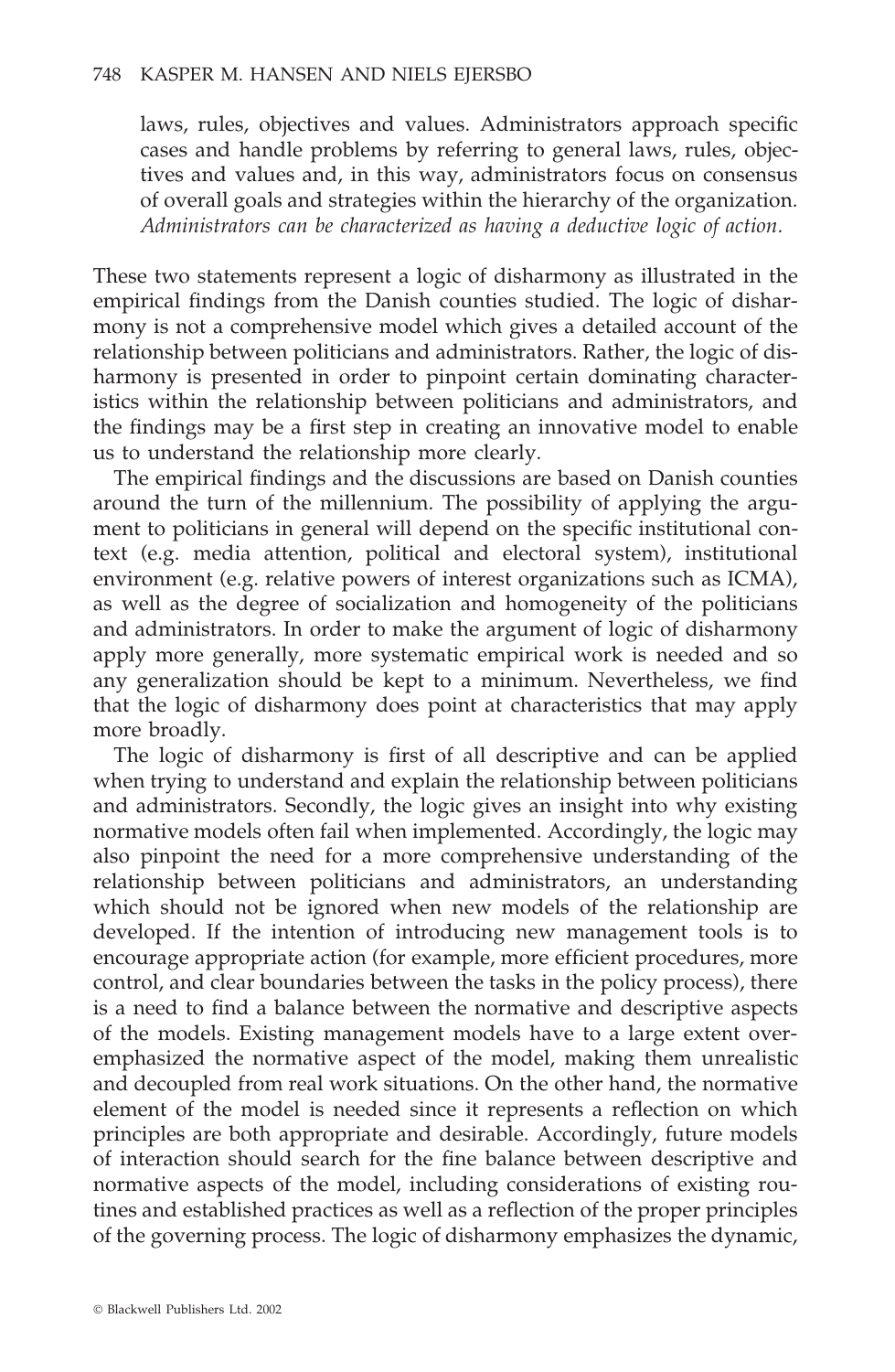laws, rules, objectives and values. Administrators approach specific cases and handle problems by referring to general laws, rules, objectives and values and, in this way, administrators focus on consensus of overall goals and strategies within the hierarchy of the organization. *Administrators can be characterized as having a deductive logic of action.*

These two statements represent a logic of disharmony as illustrated in the empirical findings from the Danish counties studied. The logic of disharmony is not a comprehensive model which gives a detailed account of the relationship between politicians and administrators. Rather, the logic of disharmony is presented in order to pinpoint certain dominating characteristics within the relationship between politicians and administrators, and the findings may be a first step in creating an innovative model to enable us to understand the relationship more clearly.

The empirical findings and the discussions are based on Danish counties around the turn of the millennium. The possibility of applying the argument to politicians in general will depend on the specific institutional context (e.g. media attention, political and electoral system), institutional environment (e.g. relative powers of interest organizations such as ICMA), as well as the degree of socialization and homogeneity of the politicians and administrators. In order to make the argument of logic of disharmony apply more generally, more systematic empirical work is needed and so any generalization should be kept to a minimum. Nevertheless, we find that the logic of disharmony does point at characteristics that may apply more broadly.

The logic of disharmony is first of all descriptive and can be applied when trying to understand and explain the relationship between politicians and administrators. Secondly, the logic gives an insight into why existing normative models often fail when implemented. Accordingly, the logic may also pinpoint the need for a more comprehensive understanding of the relationship between politicians and administrators, an understanding which should not be ignored when new models of the relationship are developed. If the intention of introducing new management tools is to encourage appropriate action (for example, more efficient procedures, more control, and clear boundaries between the tasks in the policy process), there is a need to find a balance between the normative and descriptive aspects of the models. Existing management models have to a large extent overemphasized the normative aspect of the model, making them unrealistic and decoupled from real work situations. On the other hand, the normative element of the model is needed since it represents a reflection on which principles are both appropriate and desirable. Accordingly, future models of interaction should search for the fine balance between descriptive and normative aspects of the model, including considerations of existing routines and established practices as well as a reflection of the proper principles of the governing process. The logic of disharmony emphasizes the dynamic,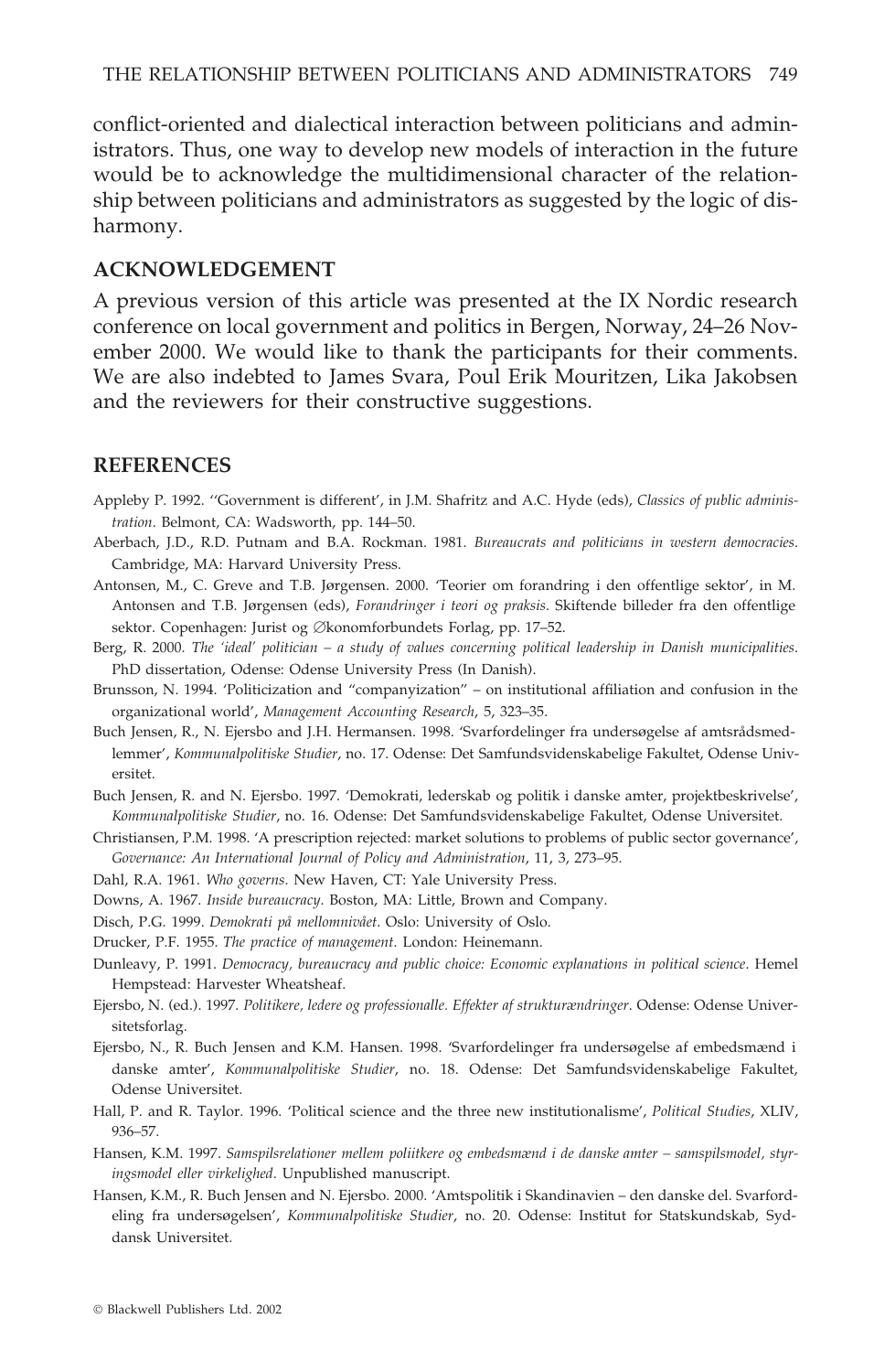conflict-oriented and dialectical interaction between politicians and administrators. Thus, one way to develop new models of interaction in the future would be to acknowledge the multidimensional character of the relationship between politicians and administrators as suggested by the logic of disharmony.

#### **ACKNOWLEDGEMENT**

A previous version of this article was presented at the IX Nordic research conference on local government and politics in Bergen, Norway, 24–26 November 2000. We would like to thank the participants for their comments. We are also indebted to James Svara, Poul Erik Mouritzen, Lika Jakobsen and the reviewers for their constructive suggestions.

#### **REFERENCES**

- Appleby P. 1992. ''Government is different', in J.M. Shafritz and A.C. Hyde (eds), *Classics of public administration*. Belmont, CA: Wadsworth, pp. 144–50.
- Aberbach, J.D., R.D. Putnam and B.A. Rockman. 1981. *Bureaucrats and politicians in western democracies*. Cambridge, MA: Harvard University Press.
- Antonsen, M., C. Greve and T.B. Jørgensen. 2000. 'Teorier om forandring i den offentlige sektor', in M. Antonsen and T.B. Jørgensen (eds), *Forandringer i teori og praksis*. Skiftende billeder fra den offentlige sektor. Copenhagen: Jurist og Økonomforbundets Forlag, pp. 17–52.
- Berg, R. 2000. *The 'ideal' politician – a study of values concerning political leadership in Danish municipalities*. PhD dissertation, Odense: Odense University Press (In Danish).
- Brunsson, N. 1994. 'Politicization and "companyization" on institutional affiliation and confusion in the organizational world', *Management Accounting Research*, 5, 323–35.
- Buch Jensen, R., N. Ejersbo and J.H. Hermansen. 1998. 'Svarfordelinger fra undersøgelse af amtsrådsmedlemmer', *Kommunalpolitiske Studier*, no. 17. Odense: Det Samfundsvidenskabelige Fakultet, Odense Universitet.
- Buch Jensen, R. and N. Ejersbo. 1997. 'Demokrati, lederskab og politik i danske amter, projektbeskrivelse', *Kommunalpolitiske Studier*, no. 16. Odense: Det Samfundsvidenskabelige Fakultet, Odense Universitet.
- Christiansen, P.M. 1998. 'A prescription rejected: market solutions to problems of public sector governance', *Governance: An International Journal of Policy and Administration*, 11, 3, 273–95.
- Dahl, R.A. 1961. *Who governs*. New Haven, CT: Yale University Press.
- Downs, A. 1967. *Inside bureaucracy*. Boston, MA: Little, Brown and Company.
- Disch, P.G. 1999. *Demokrati på mellomnivået*. Oslo: University of Oslo.
- Drucker, P.F. 1955. *The practice of management*. London: Heinemann.
- Dunleavy, P. 1991. *Democracy, bureaucracy and public choice: Economic explanations in political science*. Hemel Hempstead: Harvester Wheatsheaf.
- Ejersbo, N. (ed.). 1997. *Politikere, ledere og professionalle. Effekter af strukturændringer*. Odense: Odense Universitetsforlag.
- Ejersbo, N., R. Buch Jensen and K.M. Hansen. 1998. 'Svarfordelinger fra undersøgelse af embedsmænd i danske amter', *Kommunalpolitiske Studier*, no. 18. Odense: Det Samfundsvidenskabelige Fakultet, Odense Universitet.
- Hall, P. and R. Taylor. 1996. 'Political science and the three new institutionalisme', *Political Studies*, XLIV, 936–57.
- Hansen, K.M. 1997. *Samspilsrelationer mellem poliitkere og embedsmænd i de danske amter – samspilsmodel, styringsmodel eller virkelighed*. Unpublished manuscript.
- Hansen, K.M., R. Buch Jensen and N. Ejersbo. 2000. 'Amtspolitik i Skandinavien den danske del. Svarfordeling fra undersøgelsen', *Kommunalpolitiske Studier*, no. 20. Odense: Institut for Statskundskab, Syddansk Universitet.